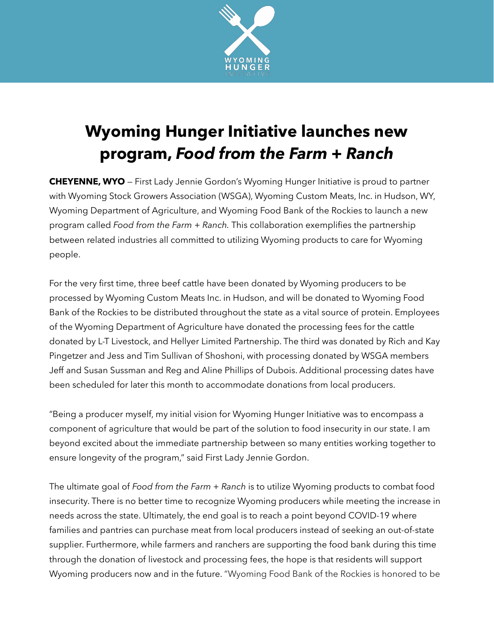

## **Wyoming Hunger Initiative launches new program,** *Food from the Farm + Ranch*

**CHEYENNE, WYO** — First Lady Jennie Gordon's Wyoming Hunger Initiative is proud to partner with Wyoming Stock Growers Association (WSGA), Wyoming Custom Meats, Inc. in Hudson, WY, Wyoming Department of Agriculture, and Wyoming Food Bank of the Rockies to launch a new program called *Food from the Farm + Ranch.* This collaboration exemplifies the partnership between related industries all committed to utilizing Wyoming products to care for Wyoming people.

For the very first time, three beef cattle have been donated by Wyoming producers to be processed by Wyoming Custom Meats Inc. in Hudson, and will be donated to Wyoming Food Bank of the Rockies to be distributed throughout the state as a vital source of protein. Employees of the Wyoming Department of Agriculture have donated the processing fees for the cattle donated by L-T Livestock, and Hellyer Limited Partnership. The third was donated by Rich and Kay Pingetzer and Jess and Tim Sullivan of Shoshoni, with processing donated by WSGA members Jeff and Susan Sussman and Reg and Aline Phillips of Dubois. Additional processing dates have been scheduled for later this month to accommodate donations from local producers.

"Being a producer myself, my initial vision for Wyoming Hunger Initiative was to encompass a component of agriculture that would be part of the solution to food insecurity in our state. I am beyond excited about the immediate partnership between so many entities working together to ensure longevity of the program," said First Lady Jennie Gordon.

The ultimate goal of *Food from the Farm + Ranch* is to utilize Wyoming products to combat food insecurity. There is no better time to recognize Wyoming producers while meeting the increase in needs across the state. Ultimately, the end goal is to reach a point beyond COVID-19 where families and pantries can purchase meat from local producers instead of seeking an out-of-state supplier. Furthermore, while farmers and ranchers are supporting the food bank during this time through the donation of livestock and processing fees, the hope is that residents will support Wyoming producers now and in the future. "Wyoming Food Bank of the Rockies is honored to be